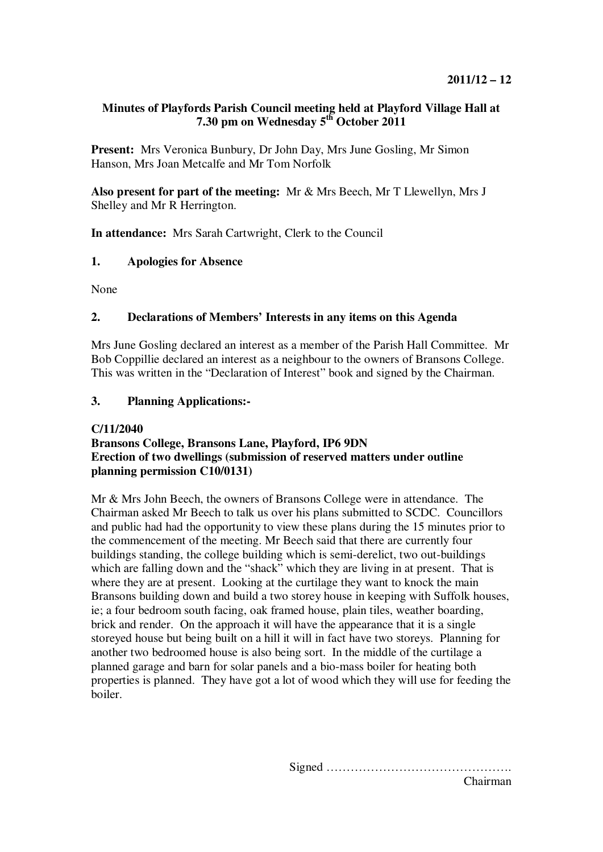# **Minutes of Playfords Parish Council meeting held at Playford Village Hall at 7.30 pm on Wednesday 5th October 2011**

**Present:** Mrs Veronica Bunbury, Dr John Day, Mrs June Gosling, Mr Simon Hanson, Mrs Joan Metcalfe and Mr Tom Norfolk

**Also present for part of the meeting:** Mr & Mrs Beech, Mr T Llewellyn, Mrs J Shelley and Mr R Herrington.

**In attendance:** Mrs Sarah Cartwright, Clerk to the Council

# **1. Apologies for Absence**

None

# **2. Declarations of Members' Interests in any items on this Agenda**

Mrs June Gosling declared an interest as a member of the Parish Hall Committee. Mr Bob Coppillie declared an interest as a neighbour to the owners of Bransons College. This was written in the "Declaration of Interest" book and signed by the Chairman.

# **3. Planning Applications:-**

#### **C/11/2040**

# **Bransons College, Bransons Lane, Playford, IP6 9DN Erection of two dwellings (submission of reserved matters under outline planning permission C10/0131)**

Mr & Mrs John Beech, the owners of Bransons College were in attendance. The Chairman asked Mr Beech to talk us over his plans submitted to SCDC. Councillors and public had had the opportunity to view these plans during the 15 minutes prior to the commencement of the meeting. Mr Beech said that there are currently four buildings standing, the college building which is semi-derelict, two out-buildings which are falling down and the "shack" which they are living in at present. That is where they are at present. Looking at the curtilage they want to knock the main Bransons building down and build a two storey house in keeping with Suffolk houses, ie; a four bedroom south facing, oak framed house, plain tiles, weather boarding, brick and render. On the approach it will have the appearance that it is a single storeyed house but being built on a hill it will in fact have two storeys. Planning for another two bedroomed house is also being sort. In the middle of the curtilage a planned garage and barn for solar panels and a bio-mass boiler for heating both properties is planned. They have got a lot of wood which they will use for feeding the boiler.

> Signed ………………………………………. Chairman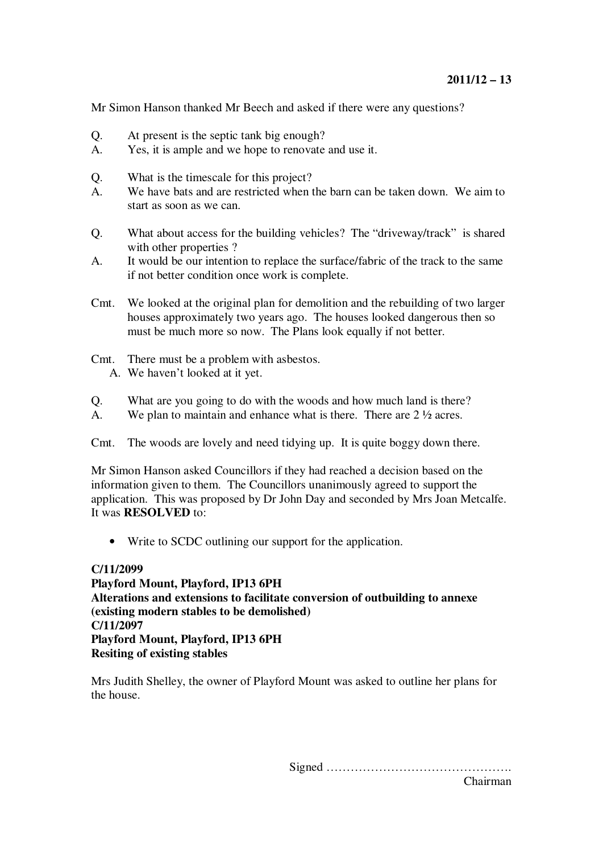Mr Simon Hanson thanked Mr Beech and asked if there were any questions?

- Q. At present is the septic tank big enough?
- A. Yes, it is ample and we hope to renovate and use it.
- Q. What is the timescale for this project?
- A. We have bats and are restricted when the barn can be taken down. We aim to start as soon as we can.
- Q. What about access for the building vehicles? The "driveway/track" is shared with other properties ?
- A. It would be our intention to replace the surface/fabric of the track to the same if not better condition once work is complete.
- Cmt. We looked at the original plan for demolition and the rebuilding of two larger houses approximately two years ago. The houses looked dangerous then so must be much more so now. The Plans look equally if not better.
- Cmt. There must be a problem with asbestos.
	- A. We haven't looked at it yet.
- Q. What are you going to do with the woods and how much land is there?
- A. We plan to maintain and enhance what is there. There are  $2 \frac{1}{2}$  acres.

Cmt. The woods are lovely and need tidying up. It is quite boggy down there.

Mr Simon Hanson asked Councillors if they had reached a decision based on the information given to them. The Councillors unanimously agreed to support the application. This was proposed by Dr John Day and seconded by Mrs Joan Metcalfe. It was **RESOLVED** to:

• Write to SCDC outlining our support for the application.

#### **C/11/2099**

**Playford Mount, Playford, IP13 6PH Alterations and extensions to facilitate conversion of outbuilding to annexe (existing modern stables to be demolished) C/11/2097 Playford Mount, Playford, IP13 6PH Resiting of existing stables** 

Mrs Judith Shelley, the owner of Playford Mount was asked to outline her plans for the house.

Signed ……………………………………….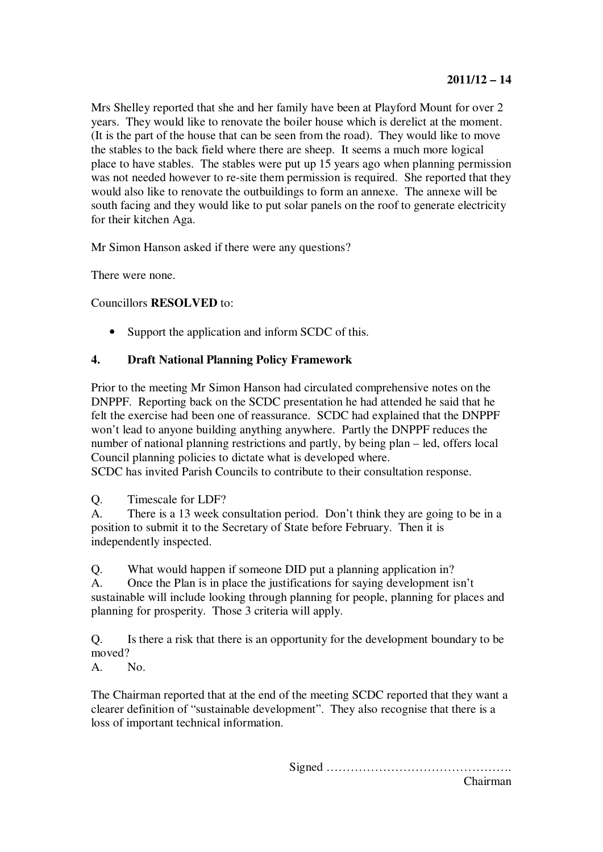Mrs Shelley reported that she and her family have been at Playford Mount for over 2 years. They would like to renovate the boiler house which is derelict at the moment. (It is the part of the house that can be seen from the road). They would like to move the stables to the back field where there are sheep. It seems a much more logical place to have stables. The stables were put up  $15$  years ago when planning permission was not needed however to re-site them permission is required. She reported that they would also like to renovate the outbuildings to form an annexe. The annexe will be south facing and they would like to put solar panels on the roof to generate electricity for their kitchen Aga.

Mr Simon Hanson asked if there were any questions?

There were none.

Councillors **RESOLVED** to:

Support the application and inform SCDC of this.

# **4. Draft National Planning Policy Framework**

Prior to the meeting Mr Simon Hanson had circulated comprehensive notes on the DNPPF. Reporting back on the SCDC presentation he had attended he said that he felt the exercise had been one of reassurance. SCDC had explained that the DNPPF won't lead to anyone building anything anywhere. Partly the DNPPF reduces the number of national planning restrictions and partly, by being plan – led, offers local Council planning policies to dictate what is developed where.

SCDC has invited Parish Councils to contribute to their consultation response.

Q. Timescale for LDF?

A. There is a 13 week consultation period. Don't think they are going to be in a position to submit it to the Secretary of State before February. Then it is independently inspected.

Q. What would happen if someone DID put a planning application in?

A. Once the Plan is in place the justifications for saying development isn't sustainable will include looking through planning for people, planning for places and planning for prosperity. Those 3 criteria will apply.

Q. Is there a risk that there is an opportunity for the development boundary to be moved?

A. No.

The Chairman reported that at the end of the meeting SCDC reported that they want a clearer definition of "sustainable development". They also recognise that there is a loss of important technical information.

Signed ……………………………………….